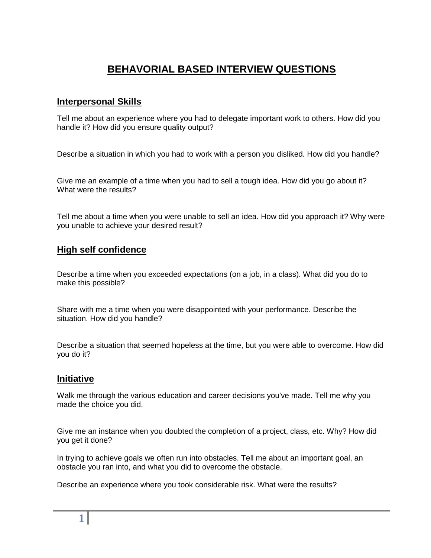# **BEHAVORIAL BASED INTERVIEW QUESTIONS**

## **Interpersonal Skills**

Tell me about an experience where you had to delegate important work to others. How did you handle it? How did you ensure quality output?

Describe a situation in which you had to work with a person you disliked. How did you handle?

Give me an example of a time when you had to sell a tough idea. How did you go about it? What were the results?

Tell me about a time when you were unable to sell an idea. How did you approach it? Why were you unable to achieve your desired result?

### **High self confidence**

Describe a time when you exceeded expectations (on a job, in a class). What did you do to make this possible?

Share with me a time when you were disappointed with your performance. Describe the situation. How did you handle?

Describe a situation that seemed hopeless at the time, but you were able to overcome. How did you do it?

#### **Initiative**

Walk me through the various education and career decisions you've made. Tell me why you made the choice you did.

Give me an instance when you doubted the completion of a project, class, etc. Why? How did you get it done?

In trying to achieve goals we often run into obstacles. Tell me about an important goal, an obstacle you ran into, and what you did to overcome the obstacle.

Describe an experience where you took considerable risk. What were the results?